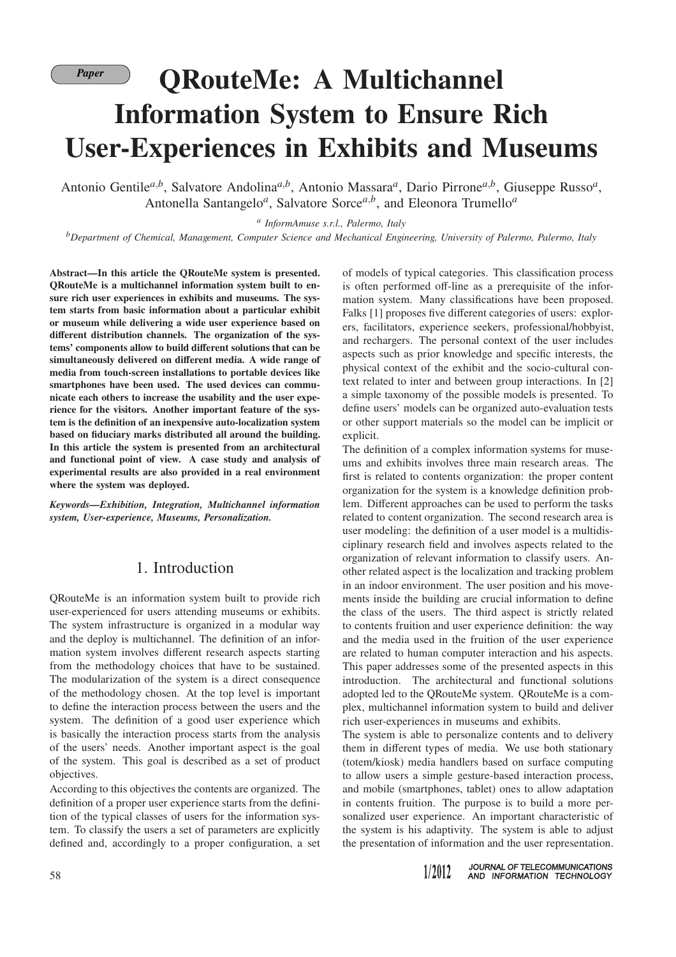# *Paper* **QRouteMe: A Multichannel Information System to Ensure Rich User-Experiences in Exhibits and Museums**

Antonio Gentile*a*,*<sup>b</sup>* , Salvatore Andolina*a*,*<sup>b</sup>* , Antonio Massara*<sup>a</sup>* , Dario Pirrone*a*,*<sup>b</sup>* , Giuseppe Russo*<sup>a</sup>* , Antonella Santangelo<sup>*a*</sup>, Salvatore Sorce<sup>*a,b*</sup>, and Eleonora Trumello<sup>*a*</sup>

*a InformAmuse s.r.l., Palermo, Italy*

*<sup>b</sup>Department of Chemical, Management, Computer Science and Mechanical Engineering, University of Palermo, Palermo, Italy*

**Abstract—In this article the QRouteMe system is presented. QRouteMe is a multichannel information system built to ensure rich user experiences in exhibits and museums. The system starts from basic information about a particular exhibit or museum while delivering a wide user experience based on different distribution channels. The organization of the systems' components allow to build different solutions that can be simultaneously delivered on different media. A wide range of media from touch-screen installations to portable devices like smartphones have been used. The used devices can communicate each others to increase the usability and the user experience for the visitors. Another important feature of the system is the definition of an inexpensive auto-localization system based on fiduciary marks distributed all around the building. In this article the system is presented from an architectural and functional point of view. A case study and analysis of experimental results are also provided in a real environment where the system was deployed.**

*Keywords—Exhibition, Integration, Multichannel information system, User-experience, Museums, Personalization.*

## 1. Introduction

QRouteMe is an information system built to provide rich user-experienced for users attending museums or exhibits. The system infrastructure is organized in a modular way and the deploy is multichannel. The definition of an information system involves different research aspects starting from the methodology choices that have to be sustained. The modularization of the system is a direct consequence of the methodology chosen. At the top level is important to define the interaction process between the users and the system. The definition of a good user experience which is basically the interaction process starts from the analysis of the users' needs. Another important aspect is the goal of the system. This goal is described as a set of product objectives.

According to this objectives the contents are organized. The definition of a proper user experience starts from the definition of the typical classes of users for the information system. To classify the users a set of parameters are explicitly defined and, accordingly to a proper configuration, a set of models of typical categories. This classification process is often performed off-line as a prerequisite of the information system. Many classifications have been proposed. Falks [1] proposes five different categories of users: explorers, facilitators, experience seekers, professional/hobbyist, and rechargers. The personal context of the user includes aspects such as prior knowledge and specific interests, the physical context of the exhibit and the socio-cultural context related to inter and between group interactions. In [2] a simple taxonomy of the possible models is presented. To define users' models can be organized auto-evaluation tests or other support materials so the model can be implicit or explicit.

The definition of a complex information systems for museums and exhibits involves three main research areas. The first is related to contents organization: the proper content organization for the system is a knowledge definition problem. Different approaches can be used to perform the tasks related to content organization. The second research area is user modeling: the definition of a user model is a multidisciplinary research field and involves aspects related to the organization of relevant information to classify users. Another related aspect is the localization and tracking problem in an indoor environment. The user position and his movements inside the building are crucial information to define the class of the users. The third aspect is strictly related to contents fruition and user experience definition: the way and the media used in the fruition of the user experience are related to human computer interaction and his aspects. This paper addresses some of the presented aspects in this introduction. The architectural and functional solutions adopted led to the QRouteMe system. QRouteMe is a complex, multichannel information system to build and deliver rich user-experiences in museums and exhibits.

The system is able to personalize contents and to delivery them in different types of media. We use both stationary (totem/kiosk) media handlers based on surface computing to allow users a simple gesture-based interaction process, and mobile (smartphones, tablet) ones to allow adaptation in contents fruition. The purpose is to build a more personalized user experience. An important characteristic of the system is his adaptivity. The system is able to adjust the presentation of information and the user representation.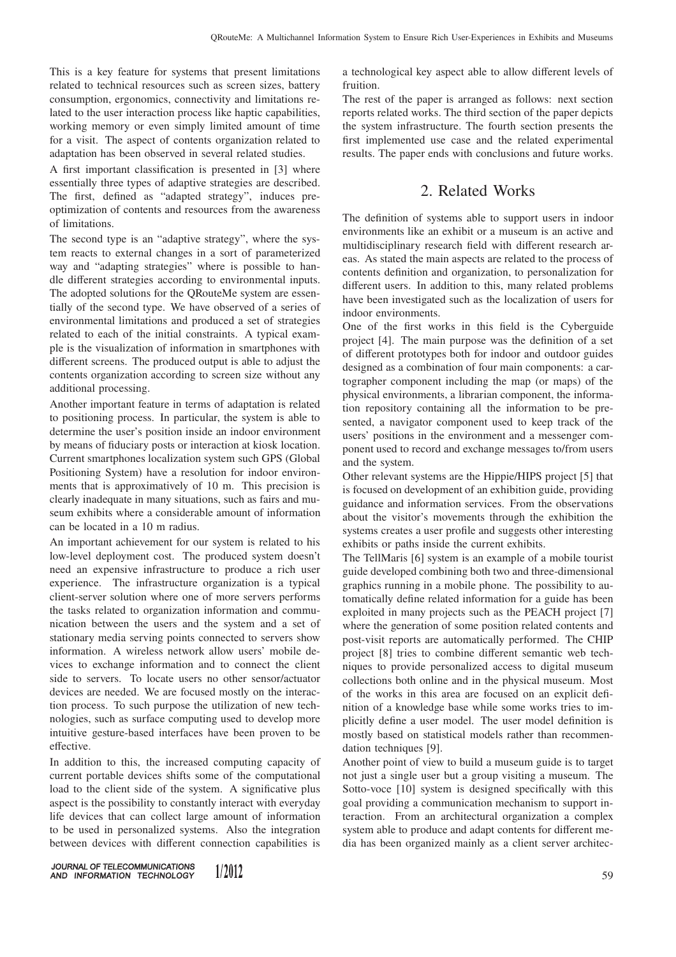This is a key feature for systems that present limitations related to technical resources such as screen sizes, battery consumption, ergonomics, connectivity and limitations related to the user interaction process like haptic capabilities, working memory or even simply limited amount of time for a visit. The aspect of contents organization related to adaptation has been observed in several related studies.

A first important classification is presented in [3] where essentially three types of adaptive strategies are described. The first, defined as "adapted strategy", induces preoptimization of contents and resources from the awareness of limitations.

The second type is an "adaptive strategy", where the system reacts to external changes in a sort of parameterized way and "adapting strategies" where is possible to handle different strategies according to environmental inputs. The adopted solutions for the QRouteMe system are essentially of the second type. We have observed of a series of environmental limitations and produced a set of strategies related to each of the initial constraints. A typical example is the visualization of information in smartphones with different screens. The produced output is able to adjust the contents organization according to screen size without any additional processing.

Another important feature in terms of adaptation is related to positioning process. In particular, the system is able to determine the user's position inside an indoor environment by means of fiduciary posts or interaction at kiosk location. Current smartphones localization system such GPS (Global Positioning System) have a resolution for indoor environments that is approximatively of 10 m. This precision is clearly inadequate in many situations, such as fairs and museum exhibits where a considerable amount of information can be located in a 10 m radius.

An important achievement for our system is related to his low-level deployment cost. The produced system doesn't need an expensive infrastructure to produce a rich user experience. The infrastructure organization is a typical client-server solution where one of more servers performs the tasks related to organization information and communication between the users and the system and a set of stationary media serving points connected to servers show information. A wireless network allow users' mobile devices to exchange information and to connect the client side to servers. To locate users no other sensor/actuator devices are needed. We are focused mostly on the interaction process. To such purpose the utilization of new technologies, such as surface computing used to develop more intuitive gesture-based interfaces have been proven to be effective.

In addition to this, the increased computing capacity of current portable devices shifts some of the computational load to the client side of the system. A significative plus aspect is the possibility to constantly interact with everyday life devices that can collect large amount of information to be used in personalized systems. Also the integration between devices with different connection capabilities is

a technological key aspect able to allow different levels of fruition.

The rest of the paper is arranged as follows: next section reports related works. The third section of the paper depicts the system infrastructure. The fourth section presents the first implemented use case and the related experimental results. The paper ends with conclusions and future works.

## 2. Related Works

The definition of systems able to support users in indoor environments like an exhibit or a museum is an active and multidisciplinary research field with different research areas. As stated the main aspects are related to the process of contents definition and organization, to personalization for different users. In addition to this, many related problems have been investigated such as the localization of users for indoor environments.

One of the first works in this field is the Cyberguide project [4]. The main purpose was the definition of a set of different prototypes both for indoor and outdoor guides designed as a combination of four main components: a cartographer component including the map (or maps) of the physical environments, a librarian component, the information repository containing all the information to be presented, a navigator component used to keep track of the users' positions in the environment and a messenger component used to record and exchange messages to/from users and the system.

Other relevant systems are the Hippie/HIPS project [5] that is focused on development of an exhibition guide, providing guidance and information services. From the observations about the visitor's movements through the exhibition the systems creates a user profile and suggests other interesting exhibits or paths inside the current exhibits.

The TellMaris [6] system is an example of a mobile tourist guide developed combining both two and three-dimensional graphics running in a mobile phone. The possibility to automatically define related information for a guide has been exploited in many projects such as the PEACH project [7] where the generation of some position related contents and post-visit reports are automatically performed. The CHIP project [8] tries to combine different semantic web techniques to provide personalized access to digital museum collections both online and in the physical museum. Most of the works in this area are focused on an explicit definition of a knowledge base while some works tries to implicitly define a user model. The user model definition is mostly based on statistical models rather than recommendation techniques [9].

Another point of view to build a museum guide is to target not just a single user but a group visiting a museum. The Sotto-voce [10] system is designed specifically with this goal providing a communication mechanism to support interaction. From an architectural organization a complex system able to produce and adapt contents for different media has been organized mainly as a client server architec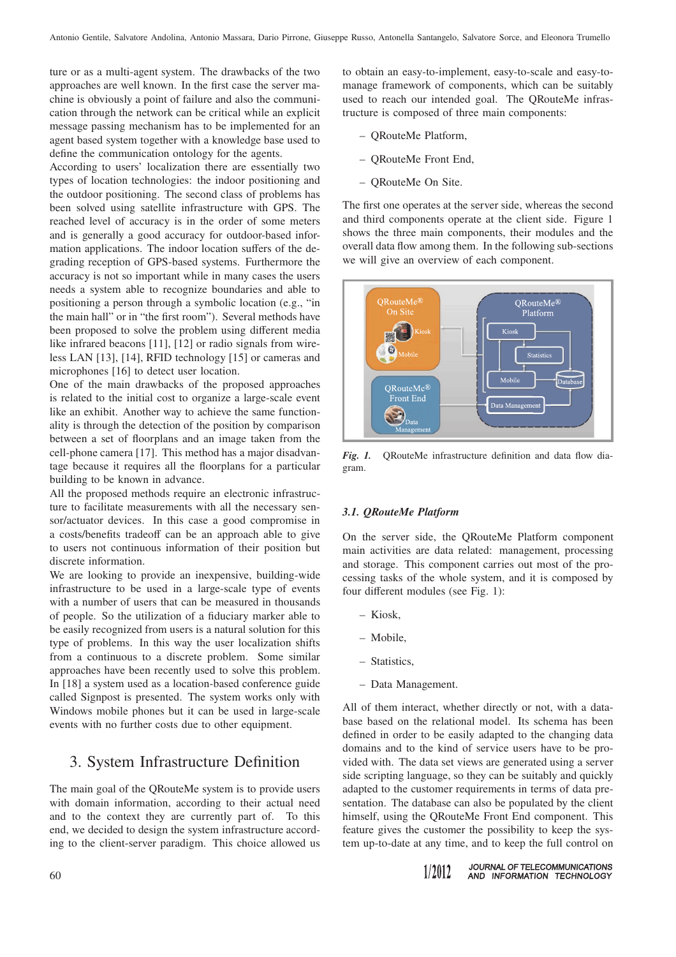ture or as a multi-agent system. The drawbacks of the two approaches are well known. In the first case the server machine is obviously a point of failure and also the communication through the network can be critical while an explicit message passing mechanism has to be implemented for an agent based system together with a knowledge base used to define the communication ontology for the agents.

According to users' localization there are essentially two types of location technologies: the indoor positioning and the outdoor positioning. The second class of problems has been solved using satellite infrastructure with GPS. The reached level of accuracy is in the order of some meters and is generally a good accuracy for outdoor-based information applications. The indoor location suffers of the degrading reception of GPS-based systems. Furthermore the accuracy is not so important while in many cases the users needs a system able to recognize boundaries and able to positioning a person through a symbolic location (e.g., "in the main hall" or in "the first room"). Several methods have been proposed to solve the problem using different media like infrared beacons [11], [12] or radio signals from wireless LAN [13], [14], RFID technology [15] or cameras and microphones [16] to detect user location.

One of the main drawbacks of the proposed approaches is related to the initial cost to organize a large-scale event like an exhibit. Another way to achieve the same functionality is through the detection of the position by comparison between a set of floorplans and an image taken from the cell-phone camera [17]. This method has a major disadvantage because it requires all the floorplans for a particular building to be known in advance.

All the proposed methods require an electronic infrastructure to facilitate measurements with all the necessary sensor/actuator devices. In this case a good compromise in a costs/benefits tradeoff can be an approach able to give to users not continuous information of their position but discrete information.

We are looking to provide an inexpensive, building-wide infrastructure to be used in a large-scale type of events with a number of users that can be measured in thousands of people. So the utilization of a fiduciary marker able to be easily recognized from users is a natural solution for this type of problems. In this way the user localization shifts from a continuous to a discrete problem. Some similar approaches have been recently used to solve this problem. In [18] a system used as a location-based conference guide called Signpost is presented. The system works only with Windows mobile phones but it can be used in large-scale events with no further costs due to other equipment.

### 3. System Infrastructure Definition

The main goal of the QRouteMe system is to provide users with domain information, according to their actual need and to the context they are currently part of. To this end, we decided to design the system infrastructure according to the client-server paradigm. This choice allowed us

to obtain an easy-to-implement, easy-to-scale and easy-tomanage framework of components, which can be suitably used to reach our intended goal. The QRouteMe infrastructure is composed of three main components:

- QRouteMe Platform,
- QRouteMe Front End,
- QRouteMe On Site.

The first one operates at the server side, whereas the second and third components operate at the client side. Figure 1 shows the three main components, their modules and the overall data flow among them. In the following sub-sections we will give an overview of each component.



*Fig. 1.* QRouteMe infrastructure definition and data flow diagram.

#### *3.1. QRouteMe Platform*

On the server side, the QRouteMe Platform component main activities are data related: management, processing and storage. This component carries out most of the processing tasks of the whole system, and it is composed by four different modules (see Fig. 1):

- Kiosk,
- Mobile,
- Statistics,
- Data Management.

All of them interact, whether directly or not, with a database based on the relational model. Its schema has been defined in order to be easily adapted to the changing data domains and to the kind of service users have to be provided with. The data set views are generated using a server side scripting language, so they can be suitably and quickly adapted to the customer requirements in terms of data presentation. The database can also be populated by the client himself, using the QRouteMe Front End component. This feature gives the customer the possibility to keep the system up-to-date at any time, and to keep the full control on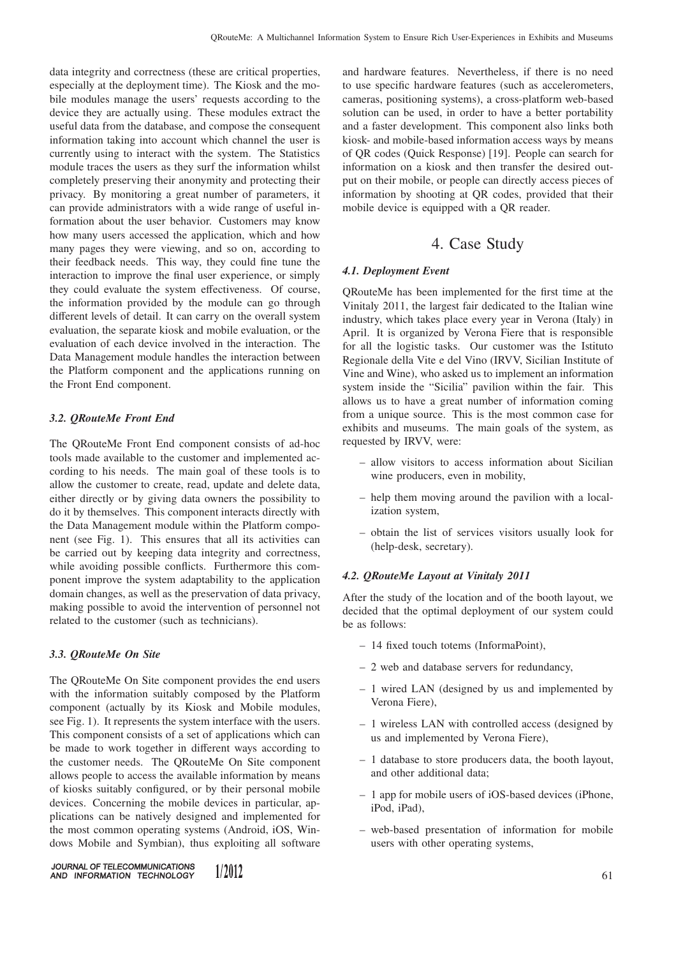data integrity and correctness (these are critical properties, especially at the deployment time). The Kiosk and the mobile modules manage the users' requests according to the device they are actually using. These modules extract the useful data from the database, and compose the consequent information taking into account which channel the user is currently using to interact with the system. The Statistics module traces the users as they surf the information whilst completely preserving their anonymity and protecting their privacy. By monitoring a great number of parameters, it can provide administrators with a wide range of useful information about the user behavior. Customers may know how many users accessed the application, which and how many pages they were viewing, and so on, according to their feedback needs. This way, they could fine tune the interaction to improve the final user experience, or simply they could evaluate the system effectiveness. Of course, the information provided by the module can go through different levels of detail. It can carry on the overall system evaluation, the separate kiosk and mobile evaluation, or the evaluation of each device involved in the interaction. The Data Management module handles the interaction between the Platform component and the applications running on the Front End component.

#### *3.2. QRouteMe Front End*

The QRouteMe Front End component consists of ad-hoc tools made available to the customer and implemented according to his needs. The main goal of these tools is to allow the customer to create, read, update and delete data, either directly or by giving data owners the possibility to do it by themselves. This component interacts directly with the Data Management module within the Platform component (see Fig. 1). This ensures that all its activities can be carried out by keeping data integrity and correctness, while avoiding possible conflicts. Furthermore this component improve the system adaptability to the application domain changes, as well as the preservation of data privacy, making possible to avoid the intervention of personnel not related to the customer (such as technicians).

#### *3.3. QRouteMe On Site*

The QRouteMe On Site component provides the end users with the information suitably composed by the Platform component (actually by its Kiosk and Mobile modules, see Fig. 1). It represents the system interface with the users. This component consists of a set of applications which can be made to work together in different ways according to the customer needs. The QRouteMe On Site component allows people to access the available information by means of kiosks suitably configured, or by their personal mobile devices. Concerning the mobile devices in particular, applications can be natively designed and implemented for the most common operating systems (Android, iOS, Windows Mobile and Symbian), thus exploiting all software

and hardware features. Nevertheless, if there is no need to use specific hardware features (such as accelerometers, cameras, positioning systems), a cross-platform web-based solution can be used, in order to have a better portability and a faster development. This component also links both kiosk- and mobile-based information access ways by means of QR codes (Quick Response) [19]. People can search for information on a kiosk and then transfer the desired output on their mobile, or people can directly access pieces of information by shooting at QR codes, provided that their mobile device is equipped with a QR reader.

## 4. Case Study

#### *4.1. Deployment Event*

QRouteMe has been implemented for the first time at the Vinitaly 2011, the largest fair dedicated to the Italian wine industry, which takes place every year in Verona (Italy) in April. It is organized by Verona Fiere that is responsible for all the logistic tasks. Our customer was the Istituto Regionale della Vite e del Vino (IRVV, Sicilian Institute of Vine and Wine), who asked us to implement an information system inside the "Sicilia" pavilion within the fair. This allows us to have a great number of information coming from a unique source. This is the most common case for exhibits and museums. The main goals of the system, as requested by IRVV, were:

- allow visitors to access information about Sicilian wine producers, even in mobility,
- help them moving around the pavilion with a localization system,
- obtain the list of services visitors usually look for (help-desk, secretary).

#### *4.2. QRouteMe Layout at Vinitaly 2011*

After the study of the location and of the booth layout, we decided that the optimal deployment of our system could be as follows:

- 14 fixed touch totems (InformaPoint),
- 2 web and database servers for redundancy,
- 1 wired LAN (designed by us and implemented by Verona Fiere),
- 1 wireless LAN with controlled access (designed by us and implemented by Verona Fiere),
- 1 database to store producers data, the booth layout, and other additional data;
- 1 app for mobile users of iOS-based devices (iPhone, iPod, iPad),
- web-based presentation of information for mobile users with other operating systems,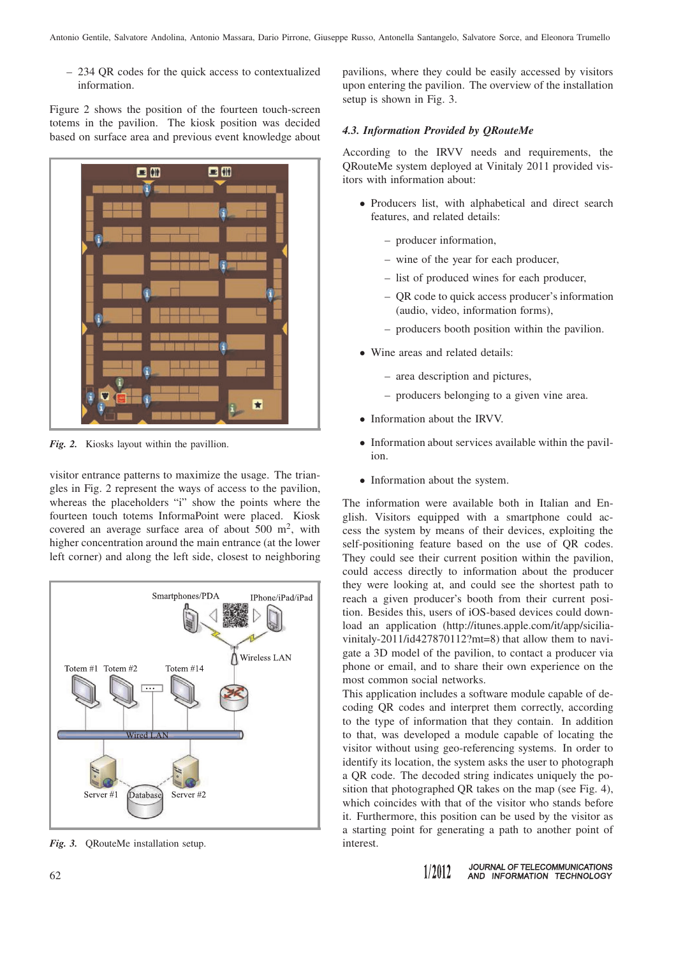– 234 QR codes for the quick access to contextualized information.

Figure 2 shows the position of the fourteen touch-screen totems in the pavilion. The kiosk position was decided based on surface area and previous event knowledge about



*Fig. 2.* Kiosks layout within the pavillion.

visitor entrance patterns to maximize the usage. The triangles in Fig. 2 represent the ways of access to the pavilion, whereas the placeholders "i" show the points where the fourteen touch totems InformaPoint were placed. Kiosk covered an average surface area of about  $500 \text{ m}^2$ , with higher concentration around the main entrance (at the lower left corner) and along the left side, closest to neighboring



*Fig. 3.* QRouteMe installation setup.

pavilions, where they could be easily accessed by visitors upon entering the pavilion. The overview of the installation setup is shown in Fig. 3.

#### *4.3. Information Provided by QRouteMe*

According to the IRVV needs and requirements, the QRouteMe system deployed at Vinitaly 2011 provided visitors with information about:

- Producers list, with alphabetical and direct search features, and related details:
	- producer information,
	- wine of the year for each producer,
	- list of produced wines for each producer,
	- QR code to quick access producer's information (audio, video, information forms),
	- producers booth position within the pavilion.
- Wine areas and related details:
	- area description and pictures,
	- producers belonging to a given vine area.
- Information about the IRVV.
- Information about services available within the pavilion.
- Information about the system.

The information were available both in Italian and English. Visitors equipped with a smartphone could access the system by means of their devices, exploiting the self-positioning feature based on the use of QR codes. They could see their current position within the pavilion, could access directly to information about the producer they were looking at, and could see the shortest path to reach a given producer's booth from their current position. Besides this, users of iOS-based devices could download an application (http://itunes.apple.com/it/app/siciliavinitaly-2011/id427870112?mt=8) that allow them to navigate a 3D model of the pavilion, to contact a producer via phone or email, and to share their own experience on the most common social networks.

This application includes a software module capable of decoding QR codes and interpret them correctly, according to the type of information that they contain. In addition to that, was developed a module capable of locating the visitor without using geo-referencing systems. In order to identify its location, the system asks the user to photograph a QR code. The decoded string indicates uniquely the position that photographed QR takes on the map (see Fig. 4), which coincides with that of the visitor who stands before it. Furthermore, this position can be used by the visitor as a starting point for generating a path to another point of interest.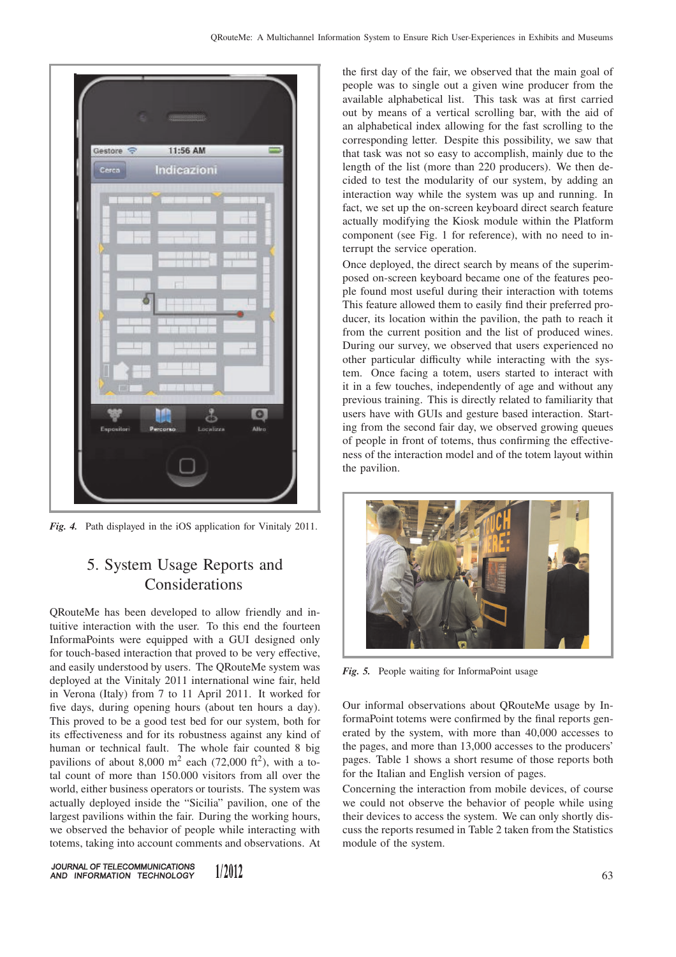

*Fig. 4.* Path displayed in the iOS application for Vinitaly 2011.

## 5. System Usage Reports and Considerations

QRouteMe has been developed to allow friendly and intuitive interaction with the user. To this end the fourteen InformaPoints were equipped with a GUI designed only for touch-based interaction that proved to be very effective, and easily understood by users. The QRouteMe system was deployed at the Vinitaly 2011 international wine fair, held in Verona (Italy) from 7 to 11 April 2011. It worked for five days, during opening hours (about ten hours a day). This proved to be a good test bed for our system, both for its effectiveness and for its robustness against any kind of human or technical fault. The whole fair counted 8 big pavilions of about 8,000 m<sup>2</sup> each (72,000 ft<sup>2</sup>), with a total count of more than 150.000 visitors from all over the world, either business operators or tourists. The system was actually deployed inside the "Sicilia" pavilion, one of the largest pavilions within the fair. During the working hours, we observed the behavior of people while interacting with totems, taking into account comments and observations. At

JOURNAL OF TELECOMMUNICATIONS 1/2012 AND INFORMATION TECHNOLOGY

the first day of the fair, we observed that the main goal of people was to single out a given wine producer from the available alphabetical list. This task was at first carried out by means of a vertical scrolling bar, with the aid of an alphabetical index allowing for the fast scrolling to the corresponding letter. Despite this possibility, we saw that that task was not so easy to accomplish, mainly due to the length of the list (more than 220 producers). We then decided to test the modularity of our system, by adding an interaction way while the system was up and running. In fact, we set up the on-screen keyboard direct search feature actually modifying the Kiosk module within the Platform component (see Fig. 1 for reference), with no need to interrupt the service operation.

Once deployed, the direct search by means of the superimposed on-screen keyboard became one of the features people found most useful during their interaction with totems This feature allowed them to easily find their preferred producer, its location within the pavilion, the path to reach it from the current position and the list of produced wines. During our survey, we observed that users experienced no other particular difficulty while interacting with the system. Once facing a totem, users started to interact with it in a few touches, independently of age and without any previous training. This is directly related to familiarity that users have with GUIs and gesture based interaction. Starting from the second fair day, we observed growing queues of people in front of totems, thus confirming the effectiveness of the interaction model and of the totem layout within the pavilion.



*Fig. 5.* People waiting for InformaPoint usage

Our informal observations about QRouteMe usage by InformaPoint totems were confirmed by the final reports generated by the system, with more than 40,000 accesses to the pages, and more than 13,000 accesses to the producers' pages. Table 1 shows a short resume of those reports both for the Italian and English version of pages.

Concerning the interaction from mobile devices, of course we could not observe the behavior of people while using their devices to access the system. We can only shortly discuss the reports resumed in Table 2 taken from the Statistics module of the system.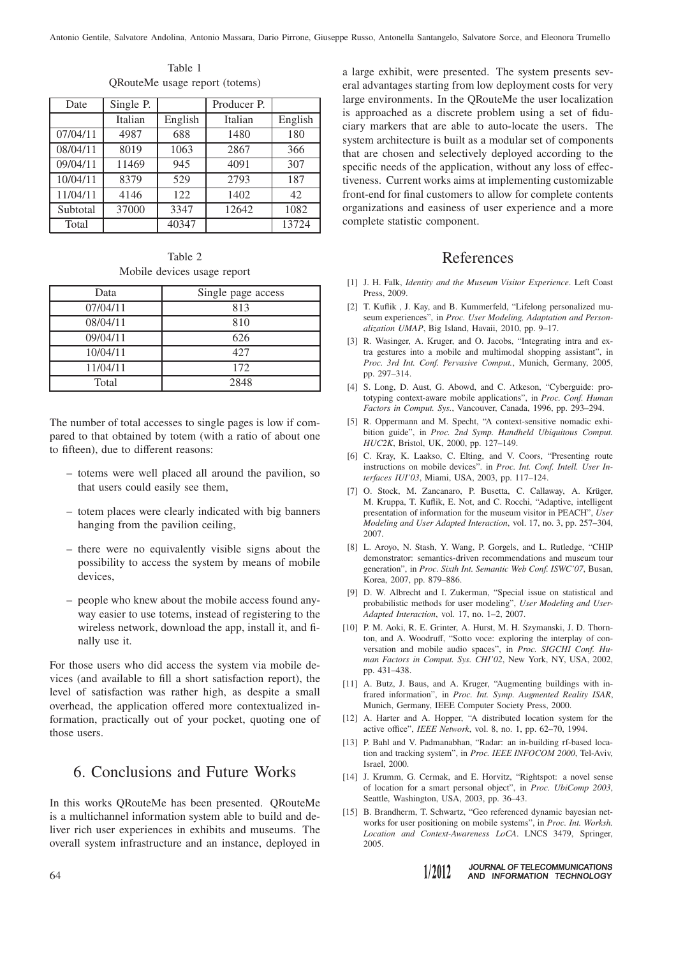| Date     | Single P. |         | Producer P. |         |
|----------|-----------|---------|-------------|---------|
|          | Italian   | English | Italian     | English |
| 07/04/11 | 4987      | 688     | 1480        | 180     |
| 08/04/11 | 8019      | 1063    | 2867        | 366     |
| 09/04/11 | 11469     | 945     | 4091        | 307     |
| 10/04/11 | 8379      | 529     | 2793        | 187     |
| 11/04/11 | 4146      | 122     | 1402        | 42      |
| Subtotal | 37000     | 3347    | 12642       | 1082    |
| Total    |           | 40347   |             | 13724   |

Table 1 QRouteMe usage report (totems)

Table 2 Mobile devices usage report

| Data     | Single page access |  |  |
|----------|--------------------|--|--|
| 07/04/11 | 813                |  |  |
| 08/04/11 | 810                |  |  |
| 09/04/11 | 626                |  |  |
| 10/04/11 | 42.7               |  |  |
| 11/04/11 | 172                |  |  |
| Total    | 2848               |  |  |

The number of total accesses to single pages is low if compared to that obtained by totem (with a ratio of about one to fifteen), due to different reasons:

- totems were well placed all around the pavilion, so that users could easily see them,
- totem places were clearly indicated with big banners hanging from the pavilion ceiling,
- there were no equivalently visible signs about the possibility to access the system by means of mobile devices,
- people who knew about the mobile access found anyway easier to use totems, instead of registering to the wireless network, download the app, install it, and finally use it.

For those users who did access the system via mobile devices (and available to fill a short satisfaction report), the level of satisfaction was rather high, as despite a small overhead, the application offered more contextualized information, practically out of your pocket, quoting one of those users.

## 6. Conclusions and Future Works

In this works QRouteMe has been presented. QRouteMe is a multichannel information system able to build and deliver rich user experiences in exhibits and museums. The overall system infrastructure and an instance, deployed in

a large exhibit, were presented. The system presents several advantages starting from low deployment costs for very large environments. In the QRouteMe the user localization is approached as a discrete problem using a set of fiduciary markers that are able to auto-locate the users. The system architecture is built as a modular set of components that are chosen and selectively deployed according to the specific needs of the application, without any loss of effectiveness. Current works aims at implementing customizable front-end for final customers to allow for complete contents organizations and easiness of user experience and a more complete statistic component.

## References

- [1] J. H. Falk, *Identity and the Museum Visitor Experience*. Left Coast Press, 2009.
- [2] T. Kuflik , J. Kay, and B. Kummerfeld, "Lifelong personalized museum experiences", in *Proc. User Modeling, Adaptation and Personalization UMAP*, Big Island, Havaii, 2010, pp. 9–17.
- [3] R. Wasinger, A. Kruger, and O. Jacobs, "Integrating intra and extra gestures into a mobile and multimodal shopping assistant", in *Proc. 3rd Int. Conf. Pervasive Comput.*, Munich, Germany, 2005, pp. 297–314.
- [4] S. Long, D. Aust, G. Abowd, and C. Atkeson, "Cyberguide: prototyping context-aware mobile applications", in *Proc. Conf. Human Factors in Comput. Sys.*, Vancouver, Canada, 1996, pp. 293–294.
- [5] R. Oppermann and M. Specht, "A context-sensitive nomadic exhibition guide", in *Proc. 2nd Symp. Handheld Ubiquitous Comput. HUC2K*, Bristol, UK, 2000, pp. 127–149.
- [6] C. Kray, K. Laakso, C. Elting, and V. Coors, "Presenting route instructions on mobile devices". in *Proc. Int. Conf. Intell. User Interfaces IUI'03*, Miami, USA, 2003, pp. 117–124.
- [7] O. Stock, M. Zancanaro, P. Busetta, C. Callaway, A. Krüger, M. Kruppa, T. Kuflik, E. Not, and C. Rocchi, "Adaptive, intelligent presentation of information for the museum visitor in PEACH", *User Modeling and User Adapted Interaction*, vol. 17, no. 3, pp. 257–304, 2007.
- [8] L. Aroyo, N. Stash, Y. Wang, P. Gorgels, and L. Rutledge, "CHIP demonstrator: semantics-driven recommendations and museum tour generation", in *Proc. Sixth Int. Semantic Web Conf. ISWC'07*, Busan, Korea, 2007, pp. 879–886.
- [9] D. W. Albrecht and I. Zukerman, "Special issue on statistical and probabilistic methods for user modeling", *User Modeling and User-Adapted Interaction*, vol. 17, no. 1–2, 2007.
- [10] P. M. Aoki, R. E. Grinter, A. Hurst, M. H. Szymanski, J. D. Thornton, and A. Woodruff, "Sotto voce: exploring the interplay of conversation and mobile audio spaces", in *Proc. SIGCHI Conf. Human Factors in Comput. Sys. CHI'02*, New York, NY, USA, 2002, pp. 431–438.
- [11] A. Butz, J. Baus, and A. Kruger, "Augmenting buildings with infrared information", in *Proc. Int. Symp. Augmented Reality ISAR*, Munich, Germany, IEEE Computer Society Press, 2000.
- [12] A. Harter and A. Hopper, "A distributed location system for the active office", *IEEE Network*, vol. 8, no. 1, pp. 62–70, 1994.
- [13] P. Bahl and V. Padmanabhan, "Radar: an in-building rf-based location and tracking system", in *Proc. IEEE INFOCOM 2000*, Tel-Aviv, Israel, 2000.
- [14] J. Krumm, G. Cermak, and E. Horvitz, "Rightspot: a novel sense of location for a smart personal object", in *Proc. UbiComp 2003*, Seattle, Washington, USA, 2003, pp. 36–43.
- [15] B. Brandherm, T. Schwartz, "Geo referenced dynamic bayesian networks for user positioning on mobile systems", in *Proc. Int. Worksh. Location and Context-Awareness LoCA*. LNCS 3479, Springer, 2005.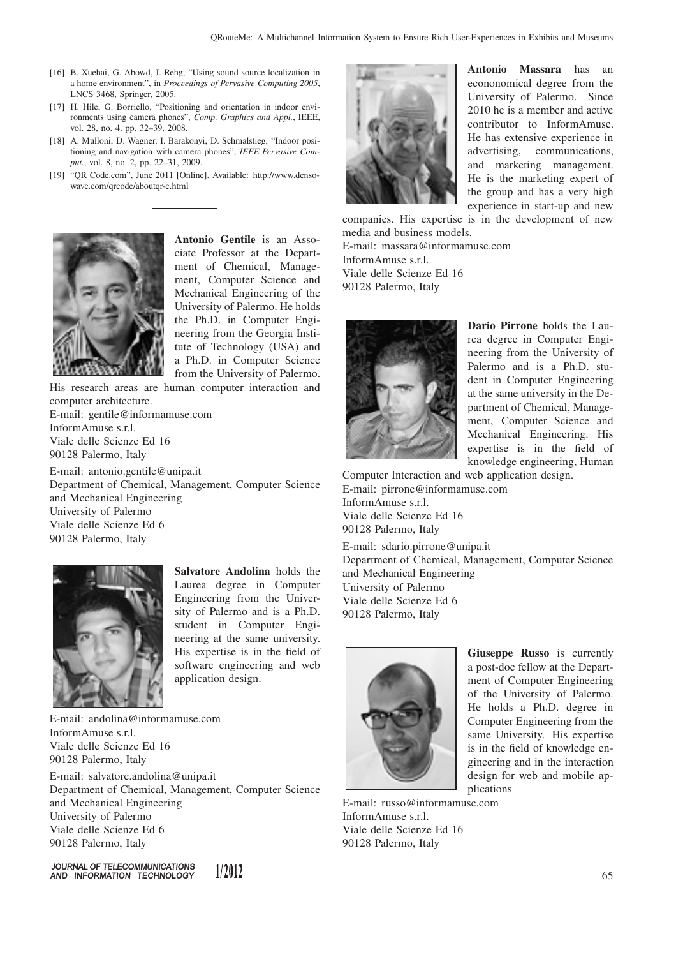- [16] B. Xuehai, G. Abowd, J. Rehg, "Using sound source localization in a home environment", in *Proceedings of Pervasive Computing 2005*, LNCS 3468, Springer, 2005.
- [17] H. Hile, G. Borriello, "Positioning and orientation in indoor environments using camera phones", *Comp. Graphics and Appl.*, IEEE, vol. 28, no. 4, pp. 32–39, 2008.
- [18] A. Mulloni, D. Wagner, I. Barakonyi, D. Schmalstieg, "Indoor positioning and navigation with camera phones", *IEEE Pervasive Comput.*, vol. 8, no. 2, pp. 22–31, 2009.
- [19] "QR Code.com", June 2011 [Online]. Available: http://www.densowave.com/qrcode/aboutqr-e.html



**Antonio Gentile** is an Associate Professor at the Department of Chemical, Management, Computer Science and Mechanical Engineering of the University of Palermo. He holds the Ph.D. in Computer Engineering from the Georgia Institute of Technology (USA) and a Ph.D. in Computer Science from the University of Palermo.

His research areas are human computer interaction and computer architecture. E-mail: gentile@informamuse.com InformAmuse s.r.l.

Viale delle Scienze Ed 16 90128 Palermo, Italy

E-mail: antonio.gentile@unipa.it Department of Chemical, Management, Computer Science and Mechanical Engineering University of Palermo Viale delle Scienze Ed 6 90128 Palermo, Italy



**Salvatore Andolina** holds the Laurea degree in Computer Engineering from the University of Palermo and is a Ph.D. student in Computer Engineering at the same university. His expertise is in the field of software engineering and web application design.

E-mail: andolina@informamuse.com InformAmuse s.r.l. Viale delle Scienze Ed 16 90128 Palermo, Italy E-mail: salvatore.andolina@unipa.it Department of Chemical, Management, Computer Science and Mechanical Engineering University of Palermo Viale delle Scienze Ed 6 90128 Palermo, Italy

1/2012

JOURNAL OF TELECOMMUNICATIONS AND INFORMATION TECHNOLOGY

$$
\left[\frac{1}{\sqrt{2}}\right]
$$

**Antonio Massara** has an econonomical degree from the University of Palermo. Since 2010 he is a member and active contributor to InformAmuse. He has extensive experience in advertising, communications, and marketing management. He is the marketing expert of the group and has a very high experience in start-up and new

companies. His expertise is in the development of new media and business models. E-mail: massara@informamuse.com InformAmuse s.r.l. Viale delle Scienze Ed 16 90128 Palermo, Italy



**Dario Pirrone** holds the Laurea degree in Computer Engineering from the University of Palermo and is a Ph.D. student in Computer Engineering at the same university in the Department of Chemical, Management, Computer Science and Mechanical Engineering. His expertise is in the field of knowledge engineering, Human

Computer Interaction and web application design. E-mail: pirrone@informamuse.com InformAmuse s.r.l. Viale delle Scienze Ed 16 90128 Palermo, Italy

E-mail: sdario.pirrone@unipa.it Department of Chemical, Management, Computer Science and Mechanical Engineering University of Palermo Viale delle Scienze Ed 6 90128 Palermo, Italy



**Giuseppe Russo** is currently a post-doc fellow at the Department of Computer Engineering of the University of Palermo. He holds a Ph.D. degree in Computer Engineering from the same University. His expertise is in the field of knowledge engineering and in the interaction design for web and mobile applications

E-mail: russo@informamuse.com InformAmuse s.r.l. Viale delle Scienze Ed 16 90128 Palermo, Italy